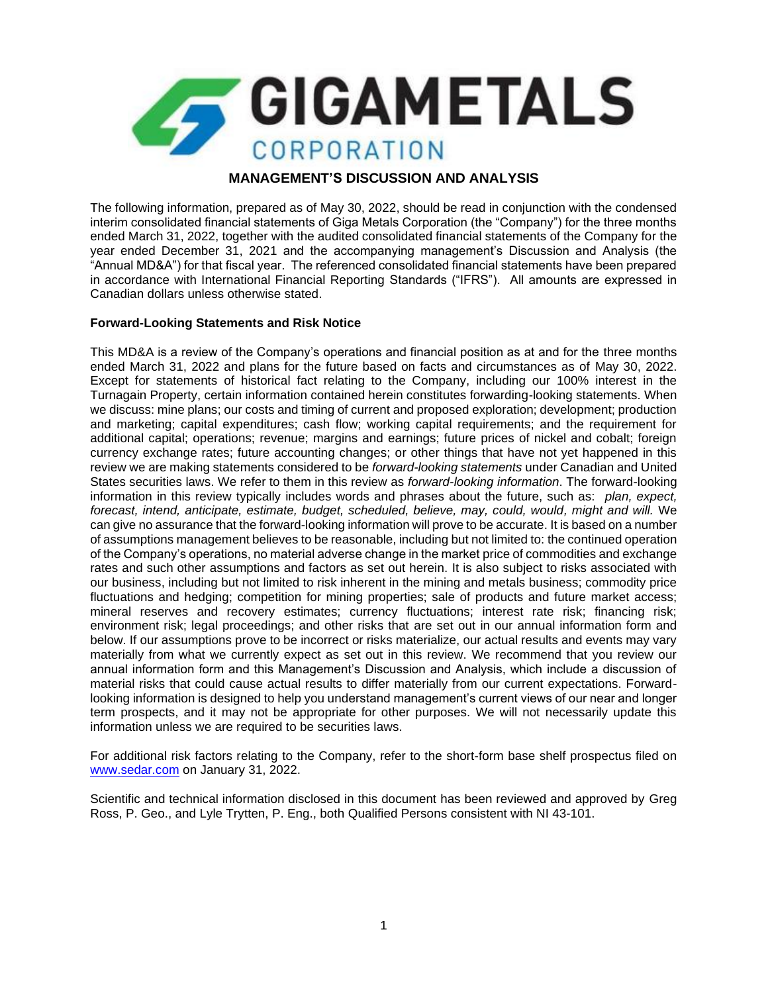

# **MANAGEMENT'S DISCUSSION AND ANALYSIS**

The following information, prepared as of May 30, 2022, should be read in conjunction with the condensed interim consolidated financial statements of Giga Metals Corporation (the "Company") for the three months ended March 31, 2022, together with the audited consolidated financial statements of the Company for the year ended December 31, 2021 and the accompanying management's Discussion and Analysis (the "Annual MD&A") for that fiscal year. The referenced consolidated financial statements have been prepared in accordance with International Financial Reporting Standards ("IFRS"). All amounts are expressed in Canadian dollars unless otherwise stated.

## **Forward-Looking Statements and Risk Notice**

This MD&A is a review of the Company's operations and financial position as at and for the three months ended March 31, 2022 and plans for the future based on facts and circumstances as of May 30, 2022. Except for statements of historical fact relating to the Company, including our 100% interest in the Turnagain Property, certain information contained herein constitutes forwarding-looking statements. When we discuss: mine plans; our costs and timing of current and proposed exploration; development; production and marketing; capital expenditures; cash flow; working capital requirements; and the requirement for additional capital; operations; revenue; margins and earnings; future prices of nickel and cobalt; foreign currency exchange rates; future accounting changes; or other things that have not yet happened in this review we are making statements considered to be *forward-looking statements* under Canadian and United States securities laws. We refer to them in this review as *forward-looking information*. The forward-looking information in this review typically includes words and phrases about the future, such as: *plan, expect, forecast, intend, anticipate, estimate, budget, scheduled, believe, may, could, would, might and will.* We can give no assurance that the forward-looking information will prove to be accurate. It is based on a number of assumptions management believes to be reasonable, including but not limited to: the continued operation of the Company's operations, no material adverse change in the market price of commodities and exchange rates and such other assumptions and factors as set out herein. It is also subject to risks associated with our business, including but not limited to risk inherent in the mining and metals business; commodity price fluctuations and hedging; competition for mining properties; sale of products and future market access; mineral reserves and recovery estimates; currency fluctuations; interest rate risk; financing risk; environment risk; legal proceedings; and other risks that are set out in our annual information form and below. If our assumptions prove to be incorrect or risks materialize, our actual results and events may vary materially from what we currently expect as set out in this review. We recommend that you review our annual information form and this Management's Discussion and Analysis, which include a discussion of material risks that could cause actual results to differ materially from our current expectations. Forwardlooking information is designed to help you understand management's current views of our near and longer term prospects, and it may not be appropriate for other purposes. We will not necessarily update this information unless we are required to be securities laws.

For additional risk factors relating to the Company, refer to the short-form base shelf prospectus filed on [www.sedar.com](http://www.sedar.com/) on January 31, 2022.

Scientific and technical information disclosed in this document has been reviewed and approved by Greg Ross, P. Geo., and Lyle Trytten, P. Eng., both Qualified Persons consistent with NI 43-101.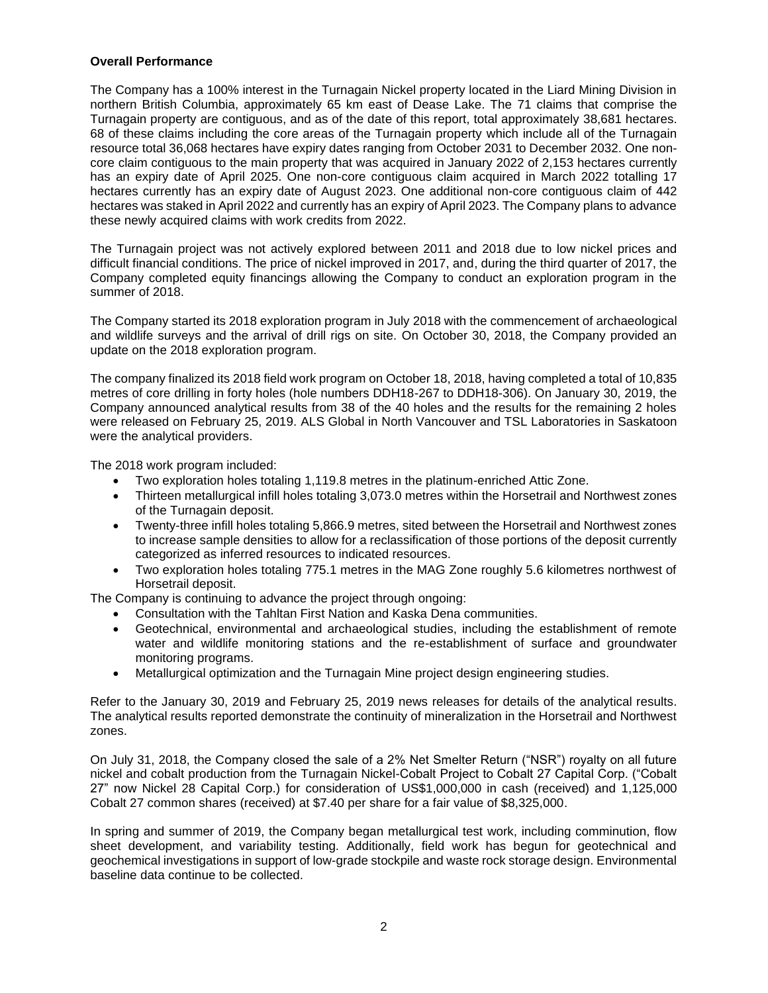#### **Overall Performance**

The Company has a 100% interest in the Turnagain Nickel property located in the Liard Mining Division in northern British Columbia, approximately 65 km east of Dease Lake. The 71 claims that comprise the Turnagain property are contiguous, and as of the date of this report, total approximately 38,681 hectares. 68 of these claims including the core areas of the Turnagain property which include all of the Turnagain resource total 36,068 hectares have expiry dates ranging from October 2031 to December 2032. One noncore claim contiguous to the main property that was acquired in January 2022 of 2,153 hectares currently has an expiry date of April 2025. One non-core contiguous claim acquired in March 2022 totalling 17 hectares currently has an expiry date of August 2023. One additional non-core contiguous claim of 442 hectares was staked in April 2022 and currently has an expiry of April 2023. The Company plans to advance these newly acquired claims with work credits from 2022.

The Turnagain project was not actively explored between 2011 and 2018 due to low nickel prices and difficult financial conditions. The price of nickel improved in 2017, and, during the third quarter of 2017, the Company completed equity financings allowing the Company to conduct an exploration program in the summer of 2018.

The Company started its 2018 exploration program in July 2018 with the commencement of archaeological and wildlife surveys and the arrival of drill rigs on site. On October 30, 2018, the Company provided an update on the 2018 exploration program.

The company finalized its 2018 field work program on October 18, 2018, having completed a total of 10,835 metres of core drilling in forty holes (hole numbers DDH18-267 to DDH18-306). On January 30, 2019, the Company announced analytical results from 38 of the 40 holes and the results for the remaining 2 holes were released on February 25, 2019. ALS Global in North Vancouver and TSL Laboratories in Saskatoon were the analytical providers.

The 2018 work program included:

- Two exploration holes totaling 1,119.8 metres in the platinum-enriched Attic Zone.
- Thirteen metallurgical infill holes totaling 3,073.0 metres within the Horsetrail and Northwest zones of the Turnagain deposit.
- Twenty-three infill holes totaling 5,866.9 metres, sited between the Horsetrail and Northwest zones to increase sample densities to allow for a reclassification of those portions of the deposit currently categorized as inferred resources to indicated resources.
- Two exploration holes totaling 775.1 metres in the MAG Zone roughly 5.6 kilometres northwest of Horsetrail deposit.

The Company is continuing to advance the project through ongoing:

- Consultation with the Tahltan First Nation and Kaska Dena communities.
- Geotechnical, environmental and archaeological studies, including the establishment of remote water and wildlife monitoring stations and the re-establishment of surface and groundwater monitoring programs.
- Metallurgical optimization and the Turnagain Mine project design engineering studies.

Refer to the January 30, 2019 and February 25, 2019 news releases for details of the analytical results. The analytical results reported demonstrate the continuity of mineralization in the Horsetrail and Northwest zones.

On July 31, 2018, the Company closed the sale of a 2% Net Smelter Return ("NSR") royalty on all future nickel and cobalt production from the Turnagain Nickel-Cobalt Project to Cobalt 27 Capital Corp. ("Cobalt 27" now Nickel 28 Capital Corp.) for consideration of US\$1,000,000 in cash (received) and 1,125,000 Cobalt 27 common shares (received) at \$7.40 per share for a fair value of \$8,325,000.

In spring and summer of 2019, the Company began metallurgical test work, including comminution, flow sheet development, and variability testing. Additionally, field work has begun for geotechnical and geochemical investigations in support of low-grade stockpile and waste rock storage design. Environmental baseline data continue to be collected.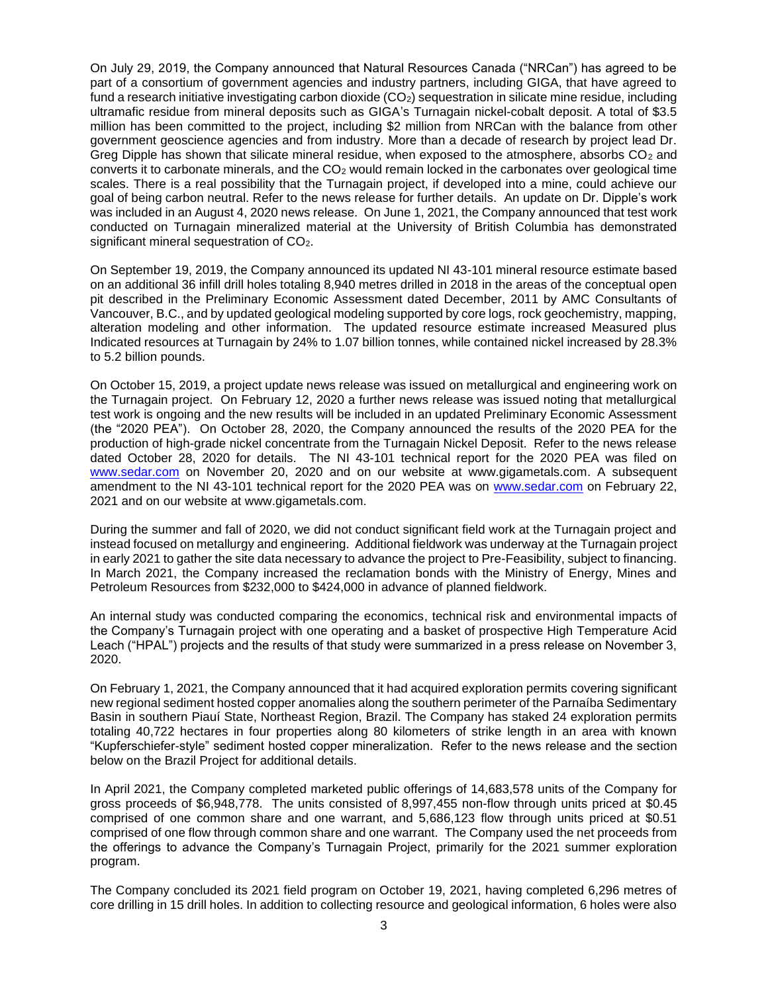On July 29, 2019, the Company announced that Natural Resources Canada ("NRCan") has agreed to be part of a consortium of government agencies and industry partners, including GIGA, that have agreed to fund a research initiative investigating carbon dioxide (CO<sub>2</sub>) sequestration in silicate mine residue, including ultramafic residue from mineral deposits such as GIGA's Turnagain nickel-cobalt deposit. A total of \$3.5 million has been committed to the project, including \$2 million from NRCan with the balance from other government geoscience agencies and from industry. More than a decade of research by project lead Dr. Greg Dipple has shown that silicate mineral residue, when exposed to the atmosphere, absorbs  $CO<sub>2</sub>$  and converts it to carbonate minerals, and the  $CO<sub>2</sub>$  would remain locked in the carbonates over geological time scales. There is a real possibility that the Turnagain project, if developed into a mine, could achieve our goal of being carbon neutral. Refer to the news release for further details. An update on Dr. Dipple's work was included in an August 4, 2020 news release. On June 1, 2021, the Company announced that test work conducted on Turnagain mineralized material at the University of British Columbia has demonstrated significant mineral sequestration of CO2.

On September 19, 2019, the Company announced its updated NI 43-101 mineral resource estimate based on an additional 36 infill drill holes totaling 8,940 metres drilled in 2018 in the areas of the conceptual open pit described in the Preliminary Economic Assessment dated December, 2011 by AMC Consultants of Vancouver, B.C., and by updated geological modeling supported by core logs, rock geochemistry, mapping, alteration modeling and other information. The updated resource estimate increased Measured plus Indicated resources at Turnagain by 24% to 1.07 billion tonnes, while contained nickel increased by 28.3% to 5.2 billion pounds.

On October 15, 2019, a project update news release was issued on metallurgical and engineering work on the Turnagain project. On February 12, 2020 a further news release was issued noting that metallurgical test work is ongoing and the new results will be included in an updated Preliminary Economic Assessment (the "2020 PEA"). On October 28, 2020, the Company announced the results of the 2020 PEA for the production of high-grade nickel concentrate from the Turnagain Nickel Deposit. Refer to the news release dated October 28, 2020 for details. The NI 43-101 technical report for the 2020 PEA was filed on [www.sedar.com](http://www.sedar.com/) on November 20, 2020 and on our website at www.gigametals.com. A subsequent amendment to the NI 43-101 technical report for the 2020 PEA was on [www.sedar.com](http://www.sedar.com/) on February 22, 2021 and on our website at www.gigametals.com.

During the summer and fall of 2020, we did not conduct significant field work at the Turnagain project and instead focused on metallurgy and engineering. Additional fieldwork was underway at the Turnagain project in early 2021 to gather the site data necessary to advance the project to Pre-Feasibility, subject to financing. In March 2021, the Company increased the reclamation bonds with the Ministry of Energy, Mines and Petroleum Resources from \$232,000 to \$424,000 in advance of planned fieldwork.

An internal study was conducted comparing the economics, technical risk and environmental impacts of the Company's Turnagain project with one operating and a basket of prospective High Temperature Acid Leach ("HPAL") projects and the results of that study were summarized in a press release on November 3, 2020.

On February 1, 2021, the Company announced that it had acquired exploration permits covering significant new regional sediment hosted copper anomalies along the southern perimeter of the Parnaíba Sedimentary Basin in southern Piauí State, Northeast Region, Brazil. The Company has staked 24 exploration permits totaling 40,722 hectares in four properties along 80 kilometers of strike length in an area with known "Kupferschiefer-style" sediment hosted copper mineralization. Refer to the news release and the section below on the Brazil Project for additional details.

In April 2021, the Company completed marketed public offerings of 14,683,578 units of the Company for gross proceeds of \$6,948,778. The units consisted of 8,997,455 non-flow through units priced at \$0.45 comprised of one common share and one warrant, and 5,686,123 flow through units priced at \$0.51 comprised of one flow through common share and one warrant. The Company used the net proceeds from the offerings to advance the Company's Turnagain Project, primarily for the 2021 summer exploration program.

The Company concluded its 2021 field program on October 19, 2021, having completed 6,296 metres of core drilling in 15 drill holes. In addition to collecting resource and geological information, 6 holes were also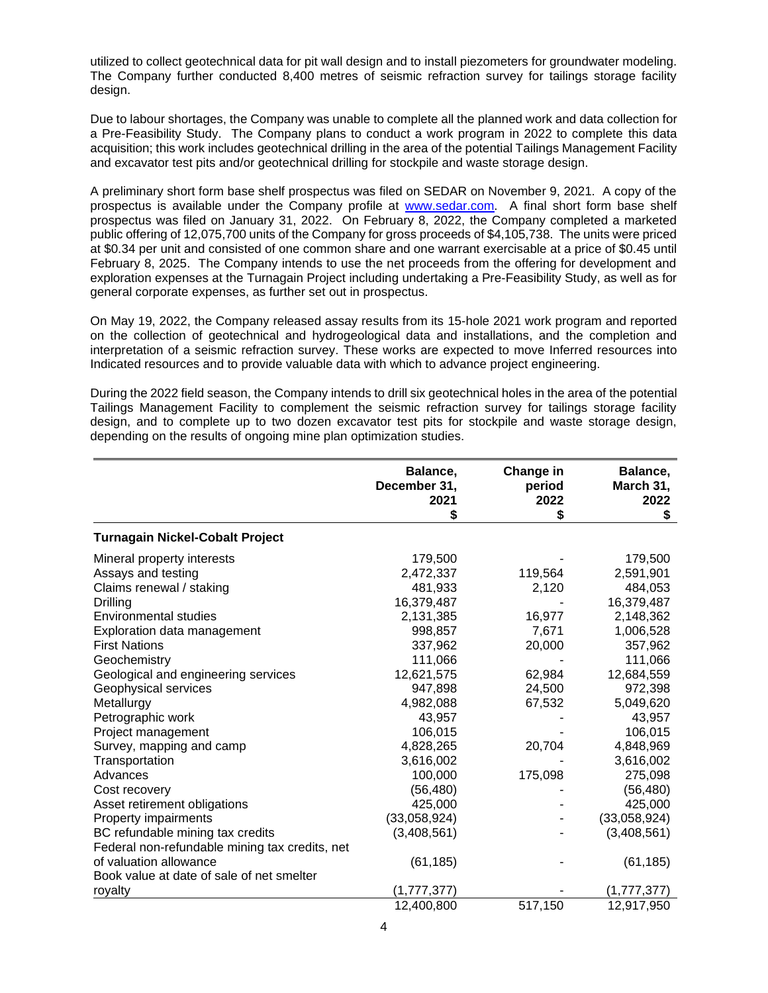utilized to collect geotechnical data for pit wall design and to install piezometers for groundwater modeling. The Company further conducted 8,400 metres of seismic refraction survey for tailings storage facility design.

Due to labour shortages, the Company was unable to complete all the planned work and data collection for a Pre-Feasibility Study. The Company plans to conduct a work program in 2022 to complete this data acquisition; this work includes geotechnical drilling in the area of the potential Tailings Management Facility and excavator test pits and/or geotechnical drilling for stockpile and waste storage design.

A preliminary short form base shelf prospectus was filed on SEDAR on November 9, 2021. A copy of the prospectus is available under the Company profile at [www.sedar.com.](http://www.sedar.com/) A final short form base shelf prospectus was filed on January 31, 2022. On February 8, 2022, the Company completed a marketed public offering of 12,075,700 units of the Company for gross proceeds of \$4,105,738. The units were priced at \$0.34 per unit and consisted of one common share and one warrant exercisable at a price of \$0.45 until February 8, 2025. The Company intends to use the net proceeds from the offering for development and exploration expenses at the Turnagain Project including undertaking a Pre-Feasibility Study, as well as for general corporate expenses, as further set out in prospectus.

On May 19, 2022, the Company released assay results from its 15-hole 2021 work program and reported on the collection of geotechnical and hydrogeological data and installations, and the completion and interpretation of a seismic refraction survey. These works are expected to move Inferred resources into Indicated resources and to provide valuable data with which to advance project engineering.

During the 2022 field season, the Company intends to drill six geotechnical holes in the area of the potential Tailings Management Facility to complement the seismic refraction survey for tailings storage facility design, and to complete up to two dozen excavator test pits for stockpile and waste storage design, depending on the results of ongoing mine plan optimization studies.

|                                                | Balance,<br>December 31,<br>2021<br>\$ | Change in<br>period<br>2022 | Balance,<br>March 31,<br>2022<br>\$ |
|------------------------------------------------|----------------------------------------|-----------------------------|-------------------------------------|
| <b>Turnagain Nickel-Cobalt Project</b>         |                                        |                             |                                     |
| Mineral property interests                     | 179,500                                |                             | 179,500                             |
| Assays and testing                             | 2,472,337                              | 119,564                     | 2,591,901                           |
| Claims renewal / staking                       | 481,933                                | 2,120                       | 484,053                             |
| Drilling                                       | 16,379,487                             |                             | 16,379,487                          |
| Environmental studies                          | 2,131,385                              | 16,977                      | 2,148,362                           |
| Exploration data management                    | 998,857                                | 7,671                       | 1,006,528                           |
| <b>First Nations</b>                           | 337,962                                | 20,000                      | 357,962                             |
| Geochemistry                                   | 111,066                                |                             | 111,066                             |
| Geological and engineering services            | 12,621,575                             | 62,984                      | 12,684,559                          |
| Geophysical services                           | 947,898                                | 24,500                      | 972,398                             |
| Metallurgy                                     | 4,982,088                              | 67,532                      | 5,049,620                           |
| Petrographic work                              | 43,957                                 |                             | 43,957                              |
| Project management                             | 106,015                                |                             | 106,015                             |
| Survey, mapping and camp                       | 4,828,265                              | 20,704                      | 4,848,969                           |
| Transportation                                 | 3,616,002                              |                             | 3,616,002                           |
| Advances                                       | 100,000                                | 175,098                     | 275,098                             |
| Cost recovery                                  | (56, 480)                              |                             | (56, 480)                           |
| Asset retirement obligations                   | 425,000                                |                             | 425,000                             |
| Property impairments                           | (33,058,924)                           |                             | (33,058,924)                        |
| BC refundable mining tax credits               | (3,408,561)                            |                             | (3,408,561)                         |
| Federal non-refundable mining tax credits, net |                                        |                             |                                     |
| of valuation allowance                         | (61, 185)                              |                             | (61, 185)                           |
| Book value at date of sale of net smelter      |                                        |                             |                                     |
| royalty                                        | (1,777,377)                            |                             | (1,777,377)                         |
|                                                | 12,400,800                             | 517,150                     | 12,917,950                          |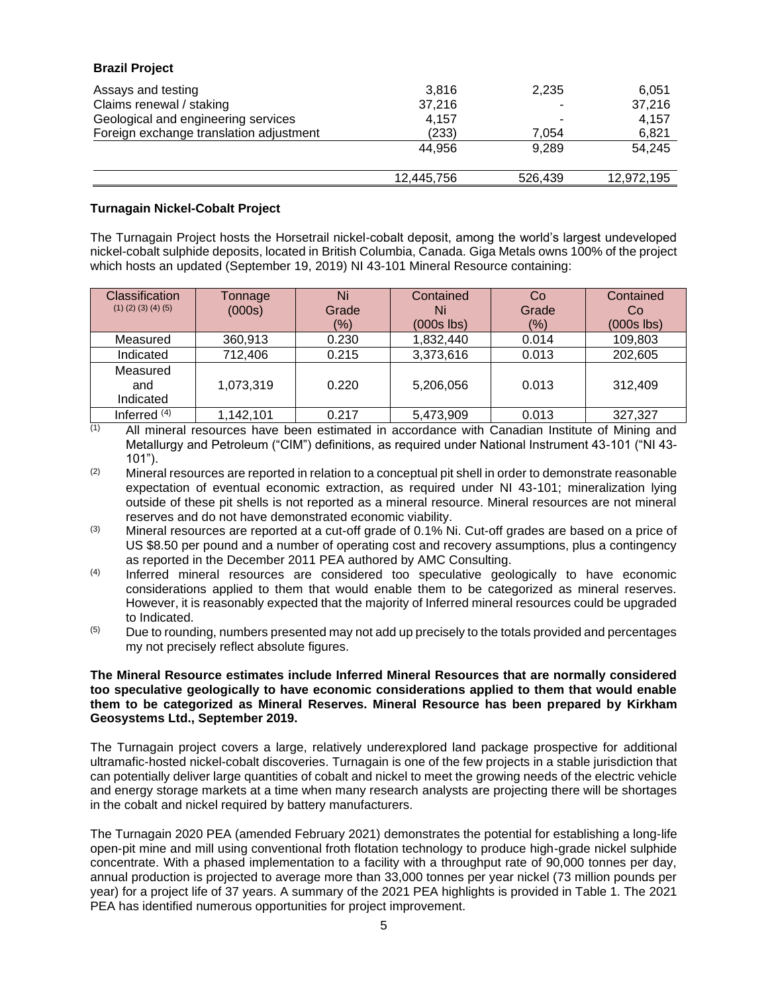| <b>DIAZII FIUJECI</b>                   |            |         |            |
|-----------------------------------------|------------|---------|------------|
| Assays and testing                      | 3.816      | 2.235   | 6.051      |
| Claims renewal / staking                | 37,216     |         | 37,216     |
| Geological and engineering services     | 4.157      | -       | 4,157      |
| Foreign exchange translation adjustment | (233)      | 7.054   | 6,821      |
|                                         | 44.956     | 9.289   | 54.245     |
|                                         | 12,445,756 | 526,439 | 12,972,195 |

#### **Turnagain Nickel-Cobalt Project**

**Brazil Project**

The Turnagain Project hosts the Horsetrail nickel-cobalt deposit, among the world's largest undeveloped nickel-cobalt sulphide deposits, located in British Columbia, Canada. Giga Metals owns 100% of the project which hosts an updated (September 19, 2019) NI 43-101 Mineral Resource containing:

| Classification                | Tonnage   | Ni    | Contained    | Co    | Contained    |
|-------------------------------|-----------|-------|--------------|-------|--------------|
| $(1)$ $(2)$ $(3)$ $(4)$ $(5)$ | (000s)    | Grade | Ni           | Grade | Co           |
|                               |           | (%)   | $(000s$ lbs) | (%)   | $(000s$ lbs) |
| Measured                      | 360,913   | 0.230 | 1,832,440    | 0.014 | 109,803      |
| Indicated                     | 712,406   | 0.215 | 3,373,616    | 0.013 | 202,605      |
| Measured                      |           |       |              |       |              |
| and                           | 1,073,319 | 0.220 | 5,206,056    | 0.013 | 312,409      |
| Indicated                     |           |       |              |       |              |
| Inferred $(4)$                | 1,142,101 | 0.217 | 5,473,909    | 0.013 | 327,327      |

 $\frac{1}{11}$  All mineral resources have been estimated in accordance with Canadian Institute of Mining and Metallurgy and Petroleum ("CIM") definitions, as required under National Instrument 43-101 ("NI 43- 101").

 $(2)$  Mineral resources are reported in relation to a conceptual pit shell in order to demonstrate reasonable expectation of eventual economic extraction, as required under NI 43-101; mineralization lying outside of these pit shells is not reported as a mineral resource. Mineral resources are not mineral reserves and do not have demonstrated economic viability.

- (3) Mineral resources are reported at a cut-off grade of 0.1% Ni. Cut-off grades are based on a price of US \$8.50 per pound and a number of operating cost and recovery assumptions, plus a contingency as reported in the December 2011 PEA authored by AMC Consulting.
- (4) Inferred mineral resources are considered too speculative geologically to have economic considerations applied to them that would enable them to be categorized as mineral reserves. However, it is reasonably expected that the majority of Inferred mineral resources could be upgraded to Indicated.
- <sup>(5)</sup> Due to rounding, numbers presented may not add up precisely to the totals provided and percentages my not precisely reflect absolute figures.

#### **The Mineral Resource estimates include Inferred Mineral Resources that are normally considered too speculative geologically to have economic considerations applied to them that would enable them to be categorized as Mineral Reserves. Mineral Resource has been prepared by Kirkham Geosystems Ltd., September 2019.**

The Turnagain project covers a large, relatively underexplored land package prospective for additional ultramafic-hosted nickel-cobalt discoveries. Turnagain is one of the few projects in a stable jurisdiction that can potentially deliver large quantities of cobalt and nickel to meet the growing needs of the electric vehicle and energy storage markets at a time when many research analysts are projecting there will be shortages in the cobalt and nickel required by battery manufacturers.

The Turnagain 2020 PEA (amended February 2021) demonstrates the potential for establishing a long-life open-pit mine and mill using conventional froth flotation technology to produce high-grade nickel sulphide concentrate. With a phased implementation to a facility with a throughput rate of 90,000 tonnes per day, annual production is projected to average more than 33,000 tonnes per year nickel (73 million pounds per year) for a project life of 37 years. A summary of the 2021 PEA highlights is provided in Table 1. The 2021 PEA has identified numerous opportunities for project improvement.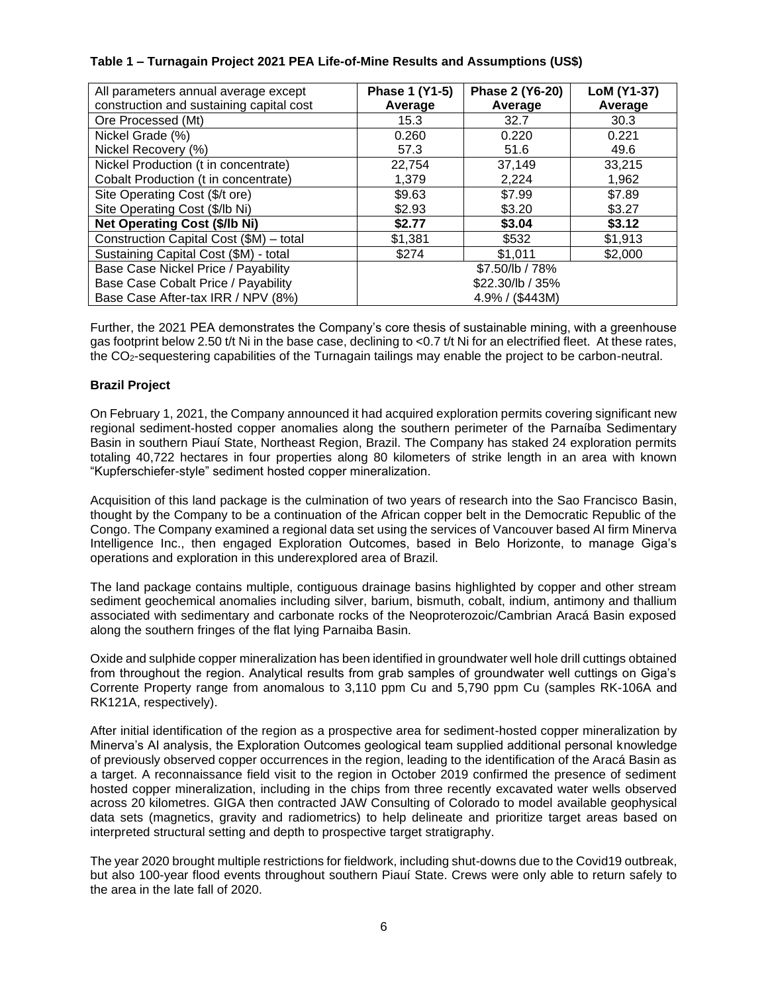| Table 1 - Turnagain Project 2021 PEA Life-of-Mine Results and Assumptions (US\$) |  |
|----------------------------------------------------------------------------------|--|
|----------------------------------------------------------------------------------|--|

| All parameters annual average except     | Phase 1 (Y1-5)     | Phase 2 (Y6-20) | LoM (Y1-37) |
|------------------------------------------|--------------------|-----------------|-------------|
| construction and sustaining capital cost | Average            | Average         | Average     |
| Ore Processed (Mt)                       | 15.3               | 32.7            | 30.3        |
| Nickel Grade (%)                         | 0.260              | 0.220           | 0.221       |
| Nickel Recovery (%)                      | 57.3               | 51.6            | 49.6        |
| Nickel Production (t in concentrate)     | 22,754             | 37,149          | 33,215      |
| Cobalt Production (t in concentrate)     | 1,379              | 2,224           | 1,962       |
| Site Operating Cost (\$/t ore)           | \$9.63             | \$7.99          | \$7.89      |
| Site Operating Cost (\$/lb Ni)           | \$2.93             | \$3.20          | \$3.27      |
| <b>Net Operating Cost (\$/lb Ni)</b>     | \$2.77             | \$3.04          | \$3.12      |
| Construction Capital Cost (\$M) - total  | \$1,381            | \$532           | \$1,913     |
| Sustaining Capital Cost (\$M) - total    | \$274              | \$1,011         | \$2,000     |
| Base Case Nickel Price / Payability      | \$7.50/lb / 78%    |                 |             |
| Base Case Cobalt Price / Payability      | $$22.30/b / 35\%$  |                 |             |
| Base Case After-tax IRR / NPV (8%)       | $4.9\%$ / (\$443M) |                 |             |

Further, the 2021 PEA demonstrates the Company's core thesis of sustainable mining, with a greenhouse gas footprint below 2.50 t/t Ni in the base case, declining to <0.7 t/t Ni for an electrified fleet. At these rates, the CO2-sequestering capabilities of the Turnagain tailings may enable the project to be carbon-neutral.

# **Brazil Project**

On February 1, 2021, the Company announced it had acquired exploration permits covering significant new regional sediment-hosted copper anomalies along the southern perimeter of the Parnaíba Sedimentary Basin in southern Piauí State, Northeast Region, Brazil. The Company has staked 24 exploration permits totaling 40,722 hectares in four properties along 80 kilometers of strike length in an area with known "Kupferschiefer-style" sediment hosted copper mineralization.

Acquisition of this land package is the culmination of two years of research into the Sao Francisco Basin, thought by the Company to be a continuation of the African copper belt in the Democratic Republic of the Congo. The Company examined a regional data set using the services of Vancouver based AI firm Minerva Intelligence Inc., then engaged Exploration Outcomes, based in Belo Horizonte, to manage Giga's operations and exploration in this underexplored area of Brazil.

The land package contains multiple, contiguous drainage basins highlighted by copper and other stream sediment geochemical anomalies including silver, barium, bismuth, cobalt, indium, antimony and thallium associated with sedimentary and carbonate rocks of the Neoproterozoic/Cambrian Aracá Basin exposed along the southern fringes of the flat lying Parnaiba Basin.

Oxide and sulphide copper mineralization has been identified in groundwater well hole drill cuttings obtained from throughout the region. Analytical results from grab samples of groundwater well cuttings on Giga's Corrente Property range from anomalous to 3,110 ppm Cu and 5,790 ppm Cu (samples RK-106A and RK121A, respectively).

After initial identification of the region as a prospective area for sediment-hosted copper mineralization by Minerva's AI analysis, the Exploration Outcomes geological team supplied additional personal knowledge of previously observed copper occurrences in the region, leading to the identification of the Aracá Basin as a target. A reconnaissance field visit to the region in October 2019 confirmed the presence of sediment hosted copper mineralization, including in the chips from three recently excavated water wells observed across 20 kilometres. GIGA then contracted JAW Consulting of Colorado to model available geophysical data sets (magnetics, gravity and radiometrics) to help delineate and prioritize target areas based on interpreted structural setting and depth to prospective target stratigraphy.

The year 2020 brought multiple restrictions for fieldwork, including shut-downs due to the Covid19 outbreak, but also 100-year flood events throughout southern Piauí State. Crews were only able to return safely to the area in the late fall of 2020.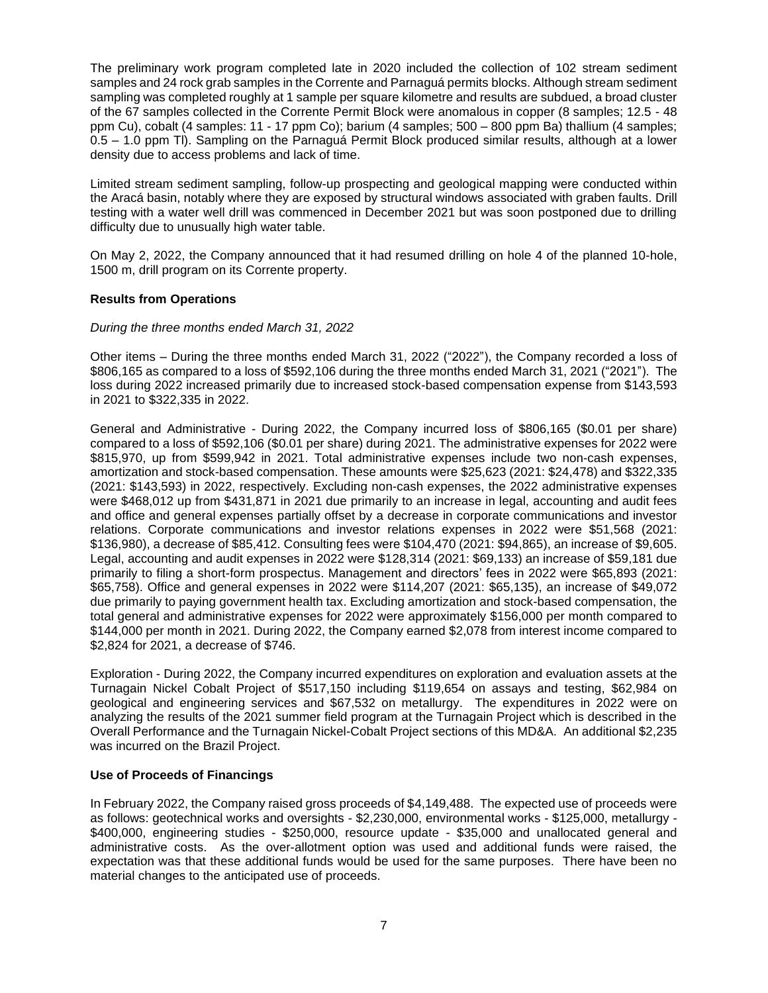The preliminary work program completed late in 2020 included the collection of 102 stream sediment samples and 24 rock grab samples in the Corrente and Parnaguá permits blocks. Although stream sediment sampling was completed roughly at 1 sample per square kilometre and results are subdued, a broad cluster of the 67 samples collected in the Corrente Permit Block were anomalous in copper (8 samples; 12.5 - 48 ppm Cu), cobalt (4 samples: 11 - 17 ppm Co); barium (4 samples; 500 – 800 ppm Ba) thallium (4 samples; 0.5 – 1.0 ppm Tl). Sampling on the Parnaguá Permit Block produced similar results, although at a lower density due to access problems and lack of time.

Limited stream sediment sampling, follow-up prospecting and geological mapping were conducted within the Aracá basin, notably where they are exposed by structural windows associated with graben faults. Drill testing with a water well drill was commenced in December 2021 but was soon postponed due to drilling difficulty due to unusually high water table.

On May 2, 2022, the Company announced that it had resumed drilling on hole 4 of the planned 10-hole, 1500 m, drill program on its Corrente property.

## **Results from Operations**

#### *During the three months ended March 31, 2022*

Other items – During the three months ended March 31, 2022 ("2022"), the Company recorded a loss of \$806,165 as compared to a loss of \$592,106 during the three months ended March 31, 2021 ("2021"). The loss during 2022 increased primarily due to increased stock-based compensation expense from \$143,593 in 2021 to \$322,335 in 2022.

General and Administrative - During 2022, the Company incurred loss of \$806,165 (\$0.01 per share) compared to a loss of \$592,106 (\$0.01 per share) during 2021. The administrative expenses for 2022 were \$815,970, up from \$599,942 in 2021. Total administrative expenses include two non-cash expenses, amortization and stock-based compensation. These amounts were \$25,623 (2021: \$24,478) and \$322,335 (2021: \$143,593) in 2022, respectively. Excluding non-cash expenses, the 2022 administrative expenses were \$468,012 up from \$431,871 in 2021 due primarily to an increase in legal, accounting and audit fees and office and general expenses partially offset by a decrease in corporate communications and investor relations. Corporate communications and investor relations expenses in 2022 were \$51,568 (2021: \$136,980), a decrease of \$85,412. Consulting fees were \$104,470 (2021: \$94,865), an increase of \$9,605. Legal, accounting and audit expenses in 2022 were \$128,314 (2021: \$69,133) an increase of \$59,181 due primarily to filing a short-form prospectus. Management and directors' fees in 2022 were \$65,893 (2021: \$65,758). Office and general expenses in 2022 were \$114,207 (2021: \$65,135), an increase of \$49,072 due primarily to paying government health tax. Excluding amortization and stock-based compensation, the total general and administrative expenses for 2022 were approximately \$156,000 per month compared to \$144,000 per month in 2021. During 2022, the Company earned \$2,078 from interest income compared to \$2,824 for 2021, a decrease of \$746.

Exploration - During 2022, the Company incurred expenditures on exploration and evaluation assets at the Turnagain Nickel Cobalt Project of \$517,150 including \$119,654 on assays and testing, \$62,984 on geological and engineering services and \$67,532 on metallurgy. The expenditures in 2022 were on analyzing the results of the 2021 summer field program at the Turnagain Project which is described in the Overall Performance and the Turnagain Nickel-Cobalt Project sections of this MD&A. An additional \$2,235 was incurred on the Brazil Project.

#### **Use of Proceeds of Financings**

In February 2022, the Company raised gross proceeds of \$4,149,488. The expected use of proceeds were as follows: geotechnical works and oversights - \$2,230,000, environmental works - \$125,000, metallurgy - \$400,000, engineering studies - \$250,000, resource update - \$35,000 and unallocated general and administrative costs. As the over-allotment option was used and additional funds were raised, the expectation was that these additional funds would be used for the same purposes. There have been no material changes to the anticipated use of proceeds.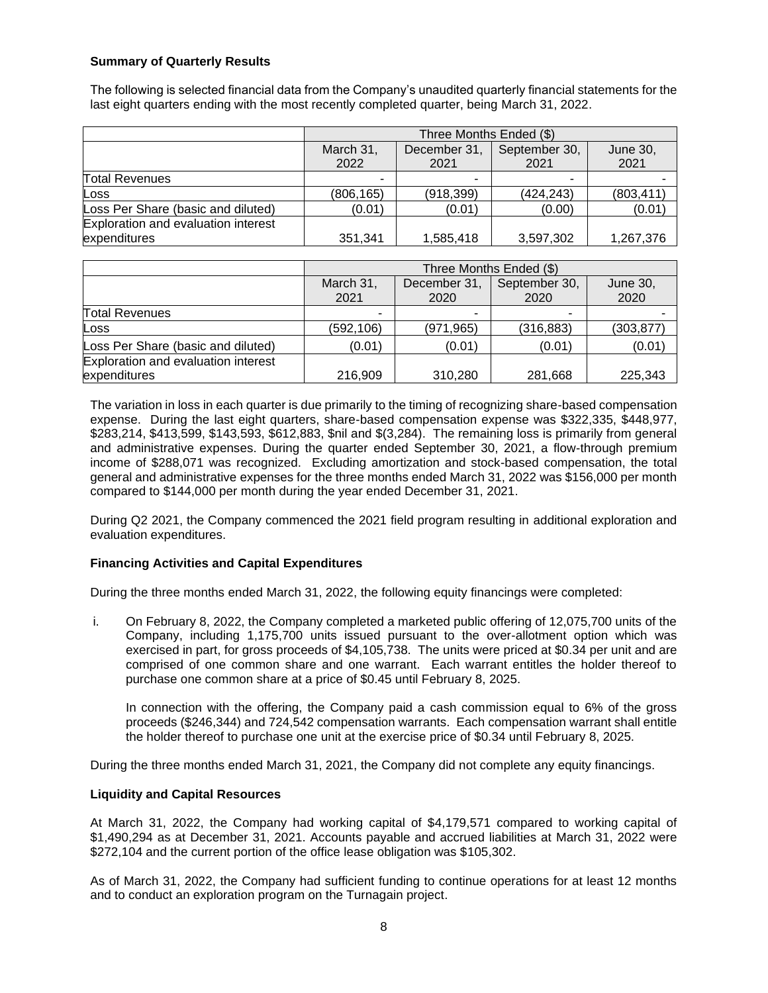# **Summary of Quarterly Results**

The following is selected financial data from the Company's unaudited quarterly financial statements for the last eight quarters ending with the most recently completed quarter, being March 31, 2022.

|                                     | Three Months Ended (\$) |                      |                       |                  |
|-------------------------------------|-------------------------|----------------------|-----------------------|------------------|
|                                     | March 31,<br>2022       | December 31,<br>2021 | September 30,<br>2021 | June 30,<br>2021 |
| <b>Total Revenues</b>               |                         |                      |                       |                  |
|                                     |                         |                      |                       |                  |
| Loss                                | (806, 165)              | (918, 399)           | (424, 243)            | (803, 411)       |
| Loss Per Share (basic and diluted)  | (0.01)                  | (0.01)               | (0.00)                | (0.01)           |
| Exploration and evaluation interest |                         |                      |                       |                  |
| expenditures                        | 351,341                 | 1,585,418            | 3,597,302             | 1,267,376        |

|                                     | Three Months Ended (\$) |              |               |                 |
|-------------------------------------|-------------------------|--------------|---------------|-----------------|
|                                     | March 31,               | December 31, | September 30, | <b>June 30,</b> |
|                                     | 2021                    | 2020         | 2020          | 2020            |
| <b>Total Revenues</b>               |                         |              |               |                 |
| Loss                                | (592, 106)              | (971, 965)   | (316, 883)    | (303, 877)      |
| Loss Per Share (basic and diluted)  | (0.01)                  | (0.01)       | (0.01)        | (0.01)          |
| Exploration and evaluation interest |                         |              |               |                 |
| expenditures                        | 216,909                 | 310,280      | 281,668       | 225,343         |

The variation in loss in each quarter is due primarily to the timing of recognizing share-based compensation expense. During the last eight quarters, share-based compensation expense was \$322,335, \$448,977, \$283,214, \$413,599, \$143,593, \$612,883, \$nil and \$(3,284). The remaining loss is primarily from general and administrative expenses. During the quarter ended September 30, 2021, a flow-through premium income of \$288,071 was recognized. Excluding amortization and stock-based compensation, the total general and administrative expenses for the three months ended March 31, 2022 was \$156,000 per month compared to \$144,000 per month during the year ended December 31, 2021.

During Q2 2021, the Company commenced the 2021 field program resulting in additional exploration and evaluation expenditures.

#### **Financing Activities and Capital Expenditures**

During the three months ended March 31, 2022, the following equity financings were completed:

i. On February 8, 2022, the Company completed a marketed public offering of 12,075,700 units of the Company, including 1,175,700 units issued pursuant to the over-allotment option which was exercised in part, for gross proceeds of \$4,105,738. The units were priced at \$0.34 per unit and are comprised of one common share and one warrant. Each warrant entitles the holder thereof to purchase one common share at a price of \$0.45 until February 8, 2025.

In connection with the offering, the Company paid a cash commission equal to 6% of the gross proceeds (\$246,344) and 724,542 compensation warrants. Each compensation warrant shall entitle the holder thereof to purchase one unit at the exercise price of \$0.34 until February 8, 2025.

During the three months ended March 31, 2021, the Company did not complete any equity financings.

#### **Liquidity and Capital Resources**

At March 31, 2022, the Company had working capital of \$4,179,571 compared to working capital of \$1,490,294 as at December 31, 2021. Accounts payable and accrued liabilities at March 31, 2022 were \$272,104 and the current portion of the office lease obligation was \$105,302.

As of March 31, 2022, the Company had sufficient funding to continue operations for at least 12 months and to conduct an exploration program on the Turnagain project.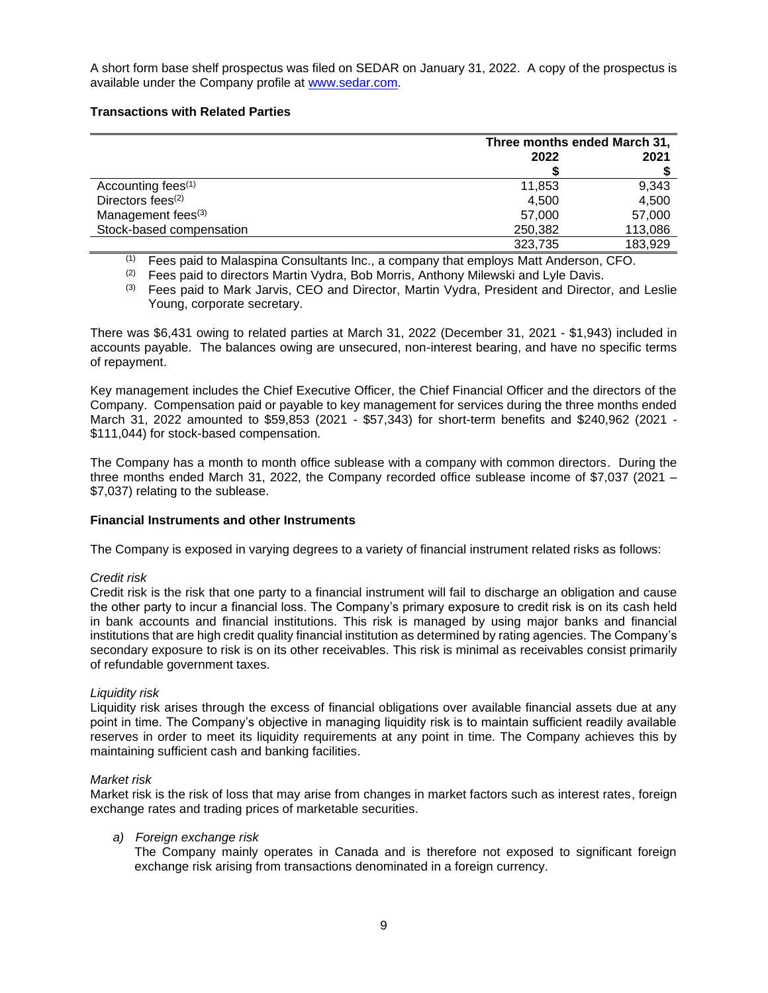A short form base shelf prospectus was filed on SEDAR on January 31, 2022. A copy of the prospectus is available under the Company profile at [www.sedar.com.](http://www.sedar.com/)

### **Transactions with Related Parties**

|                                |         | Three months ended March 31, |  |
|--------------------------------|---------|------------------------------|--|
|                                | 2022    | 2021                         |  |
|                                |         |                              |  |
| Accounting fees <sup>(1)</sup> | 11,853  | 9,343                        |  |
| Directors fees <sup>(2)</sup>  | 4,500   | 4,500                        |  |
| Management fees <sup>(3)</sup> | 57,000  | 57,000                       |  |
| Stock-based compensation       | 250,382 | 113,086                      |  |
|                                | 323,735 | 183,929                      |  |

(1) Fees paid to Malaspina Consultants Inc., a company that employs Matt Anderson, CFO.

 $(2)$  Fees paid to directors Martin Vydra, Bob Morris, Anthony Milewski and Lyle Davis.

(3) Fees paid to Mark Jarvis, CEO and Director, Martin Vydra, President and Director, and Leslie Young, corporate secretary.

There was \$6,431 owing to related parties at March 31, 2022 (December 31, 2021 - \$1,943) included in accounts payable. The balances owing are unsecured, non-interest bearing, and have no specific terms of repayment.

Key management includes the Chief Executive Officer, the Chief Financial Officer and the directors of the Company. Compensation paid or payable to key management for services during the three months ended March 31, 2022 amounted to \$59,853 (2021 - \$57,343) for short-term benefits and \$240,962 (2021 - \$111,044) for stock-based compensation.

The Company has a month to month office sublease with a company with common directors. During the three months ended March 31, 2022, the Company recorded office sublease income of \$7,037 (2021 – \$7,037) relating to the sublease.

#### **Financial Instruments and other Instruments**

The Company is exposed in varying degrees to a variety of financial instrument related risks as follows:

#### *Credit risk*

Credit risk is the risk that one party to a financial instrument will fail to discharge an obligation and cause the other party to incur a financial loss. The Company's primary exposure to credit risk is on its cash held in bank accounts and financial institutions. This risk is managed by using major banks and financial institutions that are high credit quality financial institution as determined by rating agencies. The Company's secondary exposure to risk is on its other receivables. This risk is minimal as receivables consist primarily of refundable government taxes.

#### *Liquidity risk*

Liquidity risk arises through the excess of financial obligations over available financial assets due at any point in time. The Company's objective in managing liquidity risk is to maintain sufficient readily available reserves in order to meet its liquidity requirements at any point in time. The Company achieves this by maintaining sufficient cash and banking facilities.

#### *Market risk*

Market risk is the risk of loss that may arise from changes in market factors such as interest rates, foreign exchange rates and trading prices of marketable securities.

#### *a) Foreign exchange risk*

The Company mainly operates in Canada and is therefore not exposed to significant foreign exchange risk arising from transactions denominated in a foreign currency.